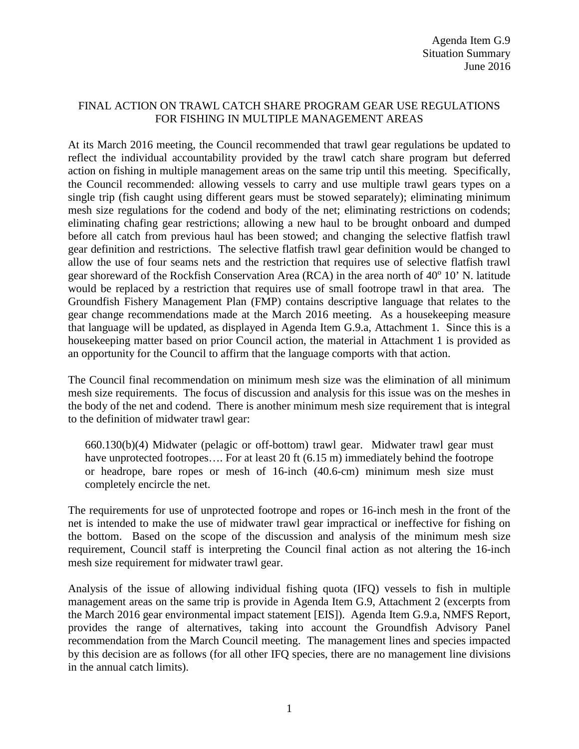## FINAL ACTION ON TRAWL CATCH SHARE PROGRAM GEAR USE REGULATIONS FOR FISHING IN MULTIPLE MANAGEMENT AREAS

At its March 2016 meeting, the Council recommended that trawl gear regulations be updated to reflect the individual accountability provided by the trawl catch share program but deferred action on fishing in multiple management areas on the same trip until this meeting. Specifically, the Council recommended: allowing vessels to carry and use multiple trawl gears types on a single trip (fish caught using different gears must be stowed separately); eliminating minimum mesh size regulations for the codend and body of the net; eliminating restrictions on codends; eliminating chafing gear restrictions; allowing a new haul to be brought onboard and dumped before all catch from previous haul has been stowed; and changing the selective flatfish trawl gear definition and restrictions. The selective flatfish trawl gear definition would be changed to allow the use of four seams nets and the restriction that requires use of selective flatfish trawl gear shoreward of the Rockfish Conservation Area (RCA) in the area north of  $40^{\circ}$  10' N. latitude would be replaced by a restriction that requires use of small footrope trawl in that area. The Groundfish Fishery Management Plan (FMP) contains descriptive language that relates to the gear change recommendations made at the March 2016 meeting. As a housekeeping measure that language will be updated, as displayed in Agenda Item G.9.a, Attachment 1. Since this is a housekeeping matter based on prior Council action, the material in Attachment 1 is provided as an opportunity for the Council to affirm that the language comports with that action.

The Council final recommendation on minimum mesh size was the elimination of all minimum mesh size requirements. The focus of discussion and analysis for this issue was on the meshes in the body of the net and codend. There is another minimum mesh size requirement that is integral to the definition of midwater trawl gear:

660.130(b)(4) Midwater (pelagic or off-bottom) trawl gear. Midwater trawl gear must have unprotected footropes.... For at least 20 ft (6.15 m) immediately behind the footrope or headrope, bare ropes or mesh of 16-inch (40.6-cm) minimum mesh size must completely encircle the net.

The requirements for use of unprotected footrope and ropes or 16-inch mesh in the front of the net is intended to make the use of midwater trawl gear impractical or ineffective for fishing on the bottom. Based on the scope of the discussion and analysis of the minimum mesh size requirement, Council staff is interpreting the Council final action as not altering the 16-inch mesh size requirement for midwater trawl gear.

Analysis of the issue of allowing individual fishing quota (IFQ) vessels to fish in multiple management areas on the same trip is provide in Agenda Item G.9, Attachment 2 (excerpts from the March 2016 gear environmental impact statement [EIS]). Agenda Item G.9.a, NMFS Report, provides the range of alternatives, taking into account the Groundfish Advisory Panel recommendation from the March Council meeting. The management lines and species impacted by this decision are as follows (for all other IFQ species, there are no management line divisions in the annual catch limits).